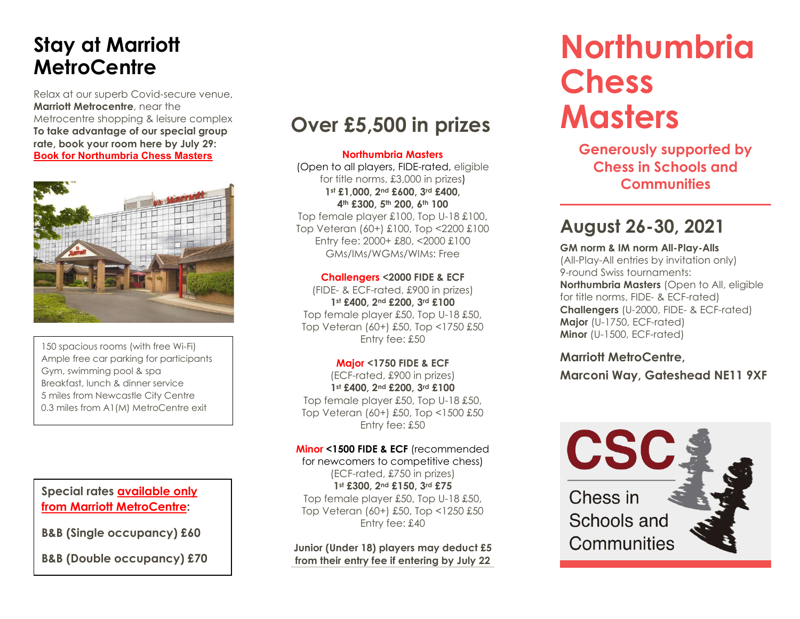# **Stay at Marriott MetroCentre**

Relax at our superb Covid-secure venue, **Marriott Metrocentre**, near the Metrocentre shopping & leisure complex. **To take advantage of our special group rate, book your room here by July 29: [Book for Northumbria Chess Masters](https://www.marriott.com/events/start.mi?id=1621322331986&key=GRP)**



150 spacious rooms (with free Wi-Fi) Ample free car parking for participants Gym, swimming pool & spa Breakfast, lunch & dinner service 5 miles from Newcastle City Centre 0.3 miles from A1(M) MetroCentre exit

# **Special rates [available](https://www.marriott.co.uk/event-reservations/reservation-link.mi?id=1621322331986&key=GRP&app=resvlink) only [from Marriott MetroCentre:](https://www.marriott.co.uk/event-reservations/reservation-link.mi?id=1621322331986&key=GRP&app=resvlink)**

**B&B (Single occupancy) £60**

**B&B (Double occupancy) £70**

# **Over £5,500 in prizes**

#### **Northumbria Masters**

(Open to all players, FIDE-rated, eligible for title norms, £3,000 in prizes) **1st £1,000, 2nd £600, 3rd £400, 4th £300, 5th 200, 6th 100** Top female player £100, Top U-18 £100,

Top Veteran (60+) £100, Top <2200 £100 Entry fee: 2000+ £80, <2000 £100 GMs/IMs/WGMs/WIMs: Free

#### **Challengers <2000 FIDE & ECF**

(FIDE- & ECF-rated, £900 in prizes) **1st £400, 2nd £200, 3rd £100** Top female player £50, Top U-18 £50, Top Veteran (60+) £50, Top <1750 £50 Entry fee: £50

#### **Major <1750 FIDE & ECF**

(ECF-rated, £900 in prizes) **1st £400, 2nd £200, 3rd £100** Top female player £50, Top U-18 £50, Top Veteran (60+) £50, Top <1500 £50 Entry fee: £50

#### **Minor <1500 FIDE & ECF** (recommended

for newcomers to competitive chess) (ECF-rated, £750 in prizes) **1st £300, 2nd £150, 3rd £75** Top female player £50, Top U-18 £50, Top Veteran (60+) £50, Top <1250 £50 Entry fee: £40

#### **Junior (Under 18) players may deduct £5 from their entry fee if entering by July 22**

# **Northumbria Chess Masters**

**Generously supported by Chess in Schools and Communities**

# **August 26-30, 2021**

**GM norm & IM norm All-Play-Alls** (All-Play-All entries by invitation only) 9-round Swiss tournaments: **Northumbria Masters** (Open to All, eligible for title norms, FIDE- & ECF-rated) **Challengers** (U-2000, FIDE- & ECF-rated) **Major** (U-1750, ECF-rated) **Minor** (U-1500, ECF-rated)

# **Marriott MetroCentre,**

**Marconi Way, Gateshead NE11 9XF**